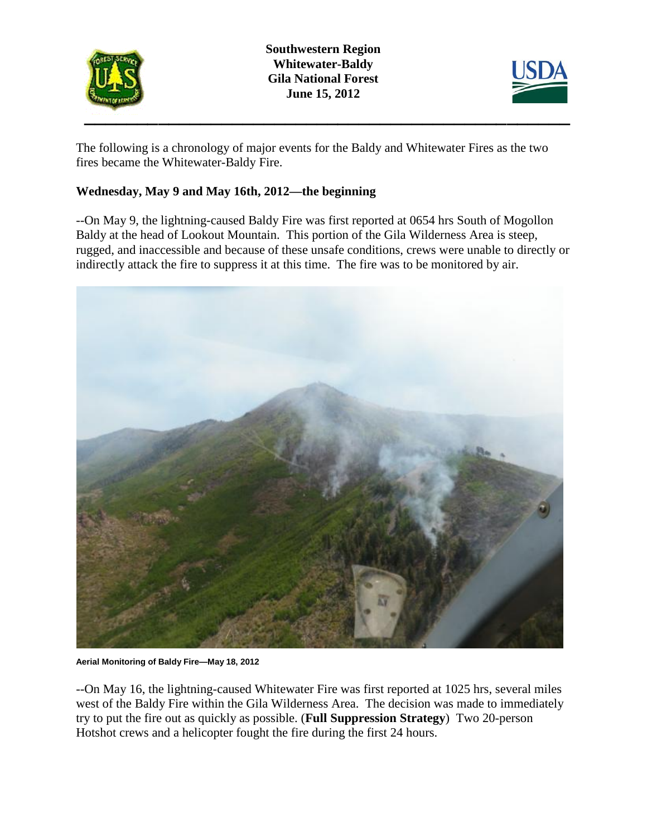

**Southwestern Region Whitewater-Baldy Gila National Forest June 15, 2012**



The following is a chronology of major events for the Baldy and Whitewater Fires as the two fires became the Whitewater-Baldy Fire.

# **Wednesday, May 9 and May 16th, 2012—the beginning**

--On May 9, the lightning-caused Baldy Fire was first reported at 0654 hrs South of Mogollon Baldy at the head of Lookout Mountain. This portion of the Gila Wilderness Area is steep, rugged, and inaccessible and because of these unsafe conditions, crews were unable to directly or indirectly attack the fire to suppress it at this time. The fire was to be monitored by air.



**Aerial Monitoring of Baldy Fire—May 18, 2012**

--On May 16, the lightning-caused Whitewater Fire was first reported at 1025 hrs, several miles west of the Baldy Fire within the Gila Wilderness Area. The decision was made to immediately try to put the fire out as quickly as possible. (**Full Suppression Strategy**) Two 20-person Hotshot crews and a helicopter fought the fire during the first 24 hours.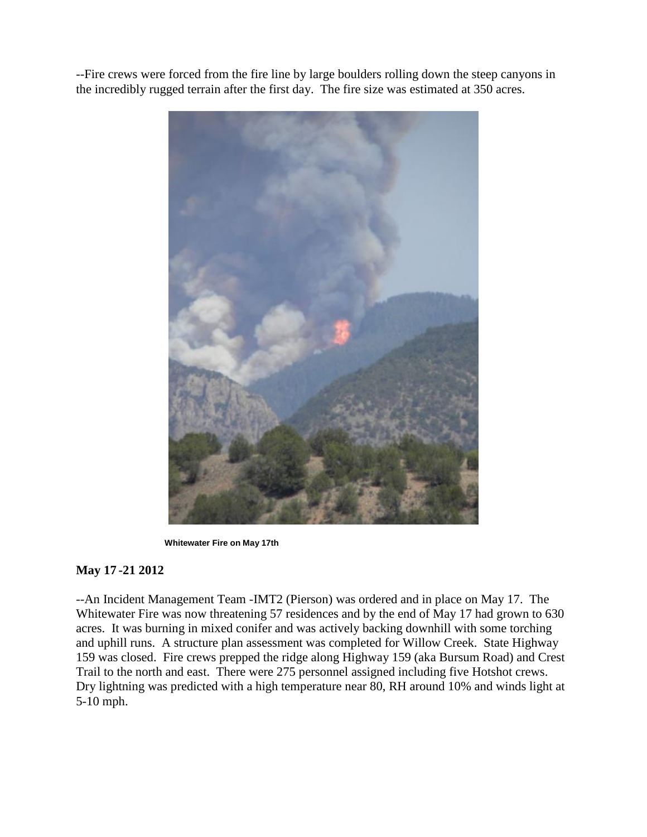--Fire crews were forced from the fire line by large boulders rolling down the steep canyons in the incredibly rugged terrain after the first day. The fire size was estimated at 350 acres.



 **Whitewater Fire on May 17th**

### **May 17 -21 2012**

--An Incident Management Team -IMT2 (Pierson) was ordered and in place on May 17. The Whitewater Fire was now threatening 57 residences and by the end of May 17 had grown to 630 acres. It was burning in mixed conifer and was actively backing downhill with some torching and uphill runs. A structure plan assessment was completed for Willow Creek. State Highway 159 was closed. Fire crews prepped the ridge along Highway 159 (aka Bursum Road) and Crest Trail to the north and east. There were 275 personnel assigned including five Hotshot crews. Dry lightning was predicted with a high temperature near 80, RH around 10% and winds light at 5-10 mph.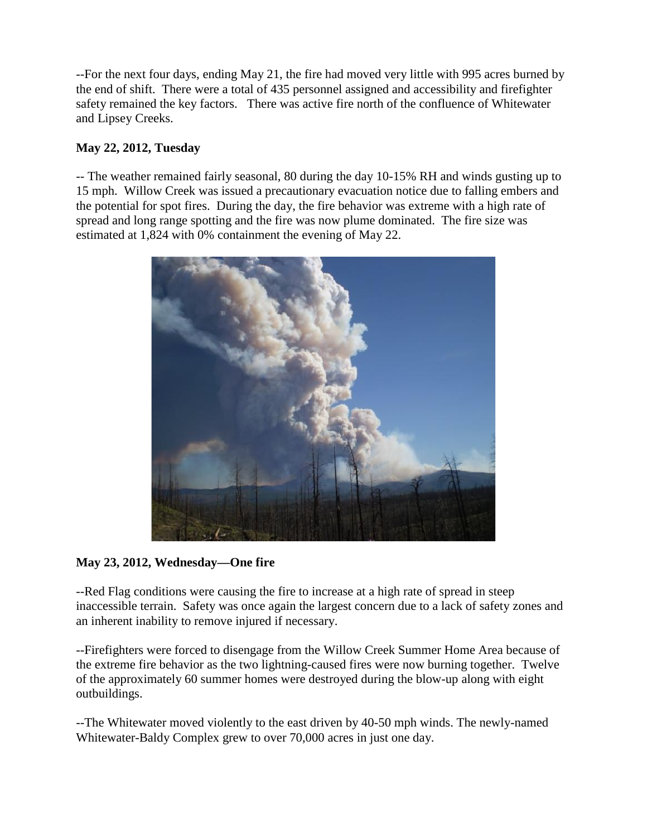--For the next four days, ending May 21, the fire had moved very little with 995 acres burned by the end of shift. There were a total of 435 personnel assigned and accessibility and firefighter safety remained the key factors. There was active fire north of the confluence of Whitewater and Lipsey Creeks.

## **May 22, 2012, Tuesday**

-- The weather remained fairly seasonal, 80 during the day 10-15% RH and winds gusting up to 15 mph. Willow Creek was issued a precautionary evacuation notice due to falling embers and the potential for spot fires. During the day, the fire behavior was extreme with a high rate of spread and long range spotting and the fire was now plume dominated. The fire size was estimated at 1,824 with 0% containment the evening of May 22.



**May 23, 2012, Wednesday—One fire**

--Red Flag conditions were causing the fire to increase at a high rate of spread in steep inaccessible terrain. Safety was once again the largest concern due to a lack of safety zones and an inherent inability to remove injured if necessary.

--Firefighters were forced to disengage from the Willow Creek Summer Home Area because of the extreme fire behavior as the two lightning-caused fires were now burning together. Twelve of the approximately 60 summer homes were destroyed during the blow-up along with eight outbuildings.

--The Whitewater moved violently to the east driven by 40-50 mph winds. The newly-named Whitewater-Baldy Complex grew to over 70,000 acres in just one day.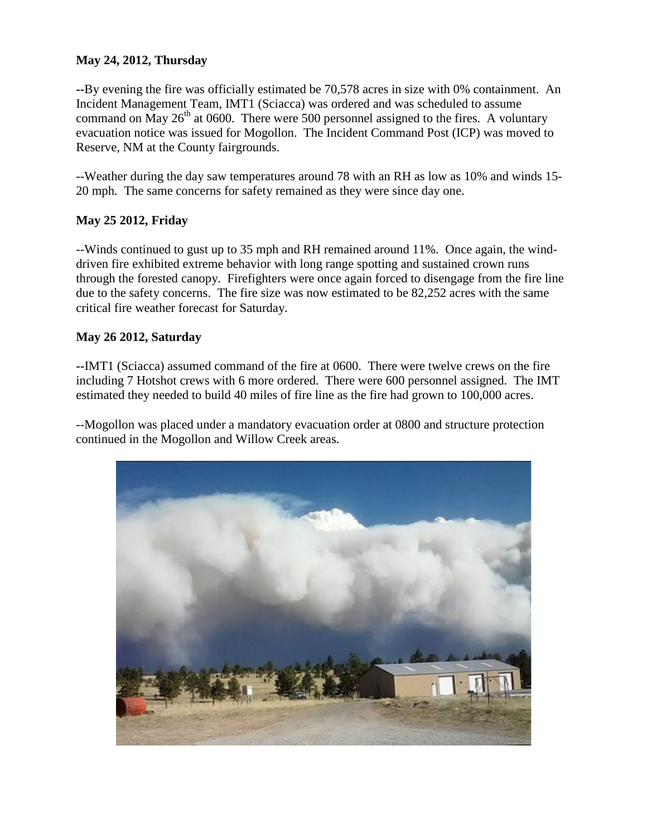### **May 24, 2012, Thursday**

**--**By evening the fire was officially estimated be 70,578 acres in size with 0% containment. An Incident Management Team, IMT1 (Sciacca) was ordered and was scheduled to assume command on May  $26<sup>th</sup>$  at 0600. There were 500 personnel assigned to the fires. A voluntary evacuation notice was issued for Mogollon. The Incident Command Post (ICP) was moved to Reserve, NM at the County fairgrounds.

--Weather during the day saw temperatures around 78 with an RH as low as 10% and winds 15- 20 mph. The same concerns for safety remained as they were since day one.

### **May 25 2012, Friday**

--Winds continued to gust up to 35 mph and RH remained around 11%. Once again, the winddriven fire exhibited extreme behavior with long range spotting and sustained crown runs through the forested canopy. Firefighters were once again forced to disengage from the fire line due to the safety concerns. The fire size was now estimated to be 82,252 acres with the same critical fire weather forecast for Saturday.

#### **May 26 2012, Saturday**

**--**IMT1 (Sciacca) assumed command of the fire at 0600. There were twelve crews on the fire including 7 Hotshot crews with 6 more ordered. There were 600 personnel assigned. The IMT estimated they needed to build 40 miles of fire line as the fire had grown to 100,000 acres.

--Mogollon was placed under a mandatory evacuation order at 0800 and structure protection continued in the Mogollon and Willow Creek areas.